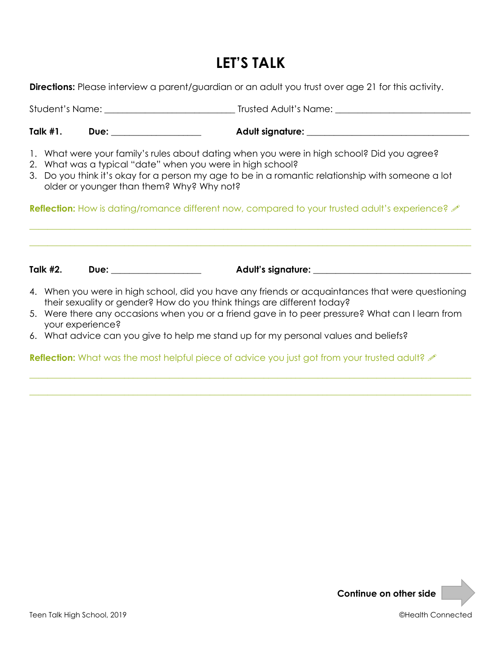# **LET'S TALK**

**Directions:** Please interview a parent/guardian or an adult you trust over age 21 for this activity.

Student's Name: **\_\_\_\_\_\_\_\_\_\_\_\_\_\_\_\_\_\_\_\_\_\_\_\_\_\_\_\_\_** Trusted Adult's Name: **\_\_\_\_\_\_\_\_\_\_\_\_\_\_\_\_\_\_\_\_\_\_\_\_\_\_\_\_\_\_**

Talk #1. Due: **Due:** Adult signature:  $\blacksquare$ 

- 1. What were your family's rules about dating when you were in high school? Did you agree?
- 2. What was a typical "date" when you were in high school?
- 3. Do you think it's okay for a person my age to be in a romantic relationship with someone a lot older or younger than them? Why? Why not?

**Reflection:** How is dating/romance different now, compared to your trusted adult's experience? A

**\_\_\_\_\_\_\_\_\_\_\_\_\_\_\_\_\_\_\_\_\_\_\_\_\_\_\_\_\_\_\_\_\_\_\_\_\_\_\_\_\_\_\_\_\_\_\_\_\_\_\_\_\_\_\_\_\_\_\_\_\_\_\_\_\_\_\_\_\_\_\_\_\_\_\_\_\_\_\_\_\_\_\_\_\_\_\_\_\_\_\_\_\_\_\_\_\_\_**

**\_\_\_\_\_\_\_\_\_\_\_\_\_\_\_\_\_\_\_\_\_\_\_\_\_\_\_\_\_\_\_\_\_\_\_\_\_\_\_\_\_\_\_\_\_\_\_\_\_\_\_\_\_\_\_\_\_\_\_\_\_\_\_\_\_\_\_\_\_\_\_\_\_\_\_\_\_\_\_\_\_\_\_\_\_\_\_\_\_\_\_\_\_\_\_\_\_\_**

Talk #2. Due: \_\_\_\_\_\_\_\_\_\_\_\_\_\_\_\_\_\_\_\_\_ Adult's signature: \_\_\_\_\_\_\_\_\_\_\_\_\_\_\_\_\_\_\_\_\_\_\_\_\_

- 4. When you were in high school, did you have any friends or acquaintances that were questioning their sexuality or gender? How do you think things are different today?
- 5. Were there any occasions when you or a friend gave in to peer pressure? What can I learn from your experience?

**\_\_\_\_\_\_\_\_\_\_\_\_\_\_\_\_\_\_\_\_\_\_\_\_\_\_\_\_\_\_\_\_\_\_\_\_\_\_\_\_\_\_\_\_\_\_\_\_\_\_\_\_\_\_\_\_\_\_\_\_\_\_\_\_\_\_\_\_\_\_\_\_\_\_\_\_\_\_\_\_\_\_\_\_\_\_\_\_\_\_\_\_\_\_\_\_\_\_**

**\_\_\_\_\_\_\_\_\_\_\_\_\_\_\_\_\_\_\_\_\_\_\_\_\_\_\_\_\_\_\_\_\_\_\_\_\_\_\_\_\_\_\_\_\_\_\_\_\_\_\_\_\_\_\_\_\_\_\_\_\_\_\_\_\_\_\_\_\_\_\_\_\_\_\_\_\_\_\_\_\_\_\_\_\_\_\_\_\_\_\_\_\_\_\_\_\_\_**

6. What advice can you give to help me stand up for my personal values and beliefs?

**Reflection:** What was the most helpful piece of advice you just got from your trusted adult?